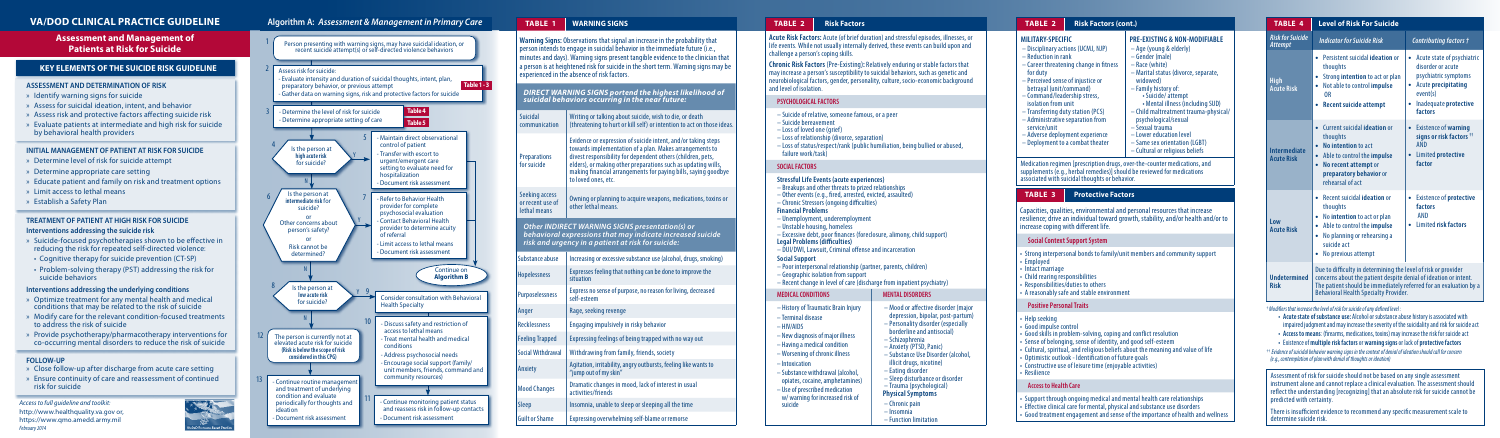# **Algorithm A:** *Assessment & Management in Primary Care*

2

3

6

4

8

12

13

1

# Assess risk for suicide:

Person presenting with warning signs, may have suicidal ideation, or recent suicide attempt(s) or self-directed violence behaviors

5 7 9 10 11 Y Y Y N N N s the person at **low acute risk** for suicide? - Evaluate intensity and duration of suicidal thoughts, intent, plan, preparatory behavior, or previous attempt - Gather data on warning signs, risk and protective factors for suicide - Determine the level of risk for suicide - Determine appropriate setting of care s the person at **high acute risk** for suicide? Is the person at **intermediate risk** for suicide? or Other concerns abou person's safety? or Risk cannot be determined? - Maintain direct observational control of patient - Transfer with escort to urgent/emergent care setting to evaluate need for hospitalization - Document risk assessment The person is currently not at elevated acute risk for suicide **(Risk is below the scope of risk considered in this CPG)** - Discuss safety and restriction of access to lethal means - Treat mental health and medical conditions - Address psychosocial needs - Encourage social support (family/ unit members, friends, command and community resources) - Refer to Behavior Health provider for complete psychosocial evaluation - Contact Behavioral Health provider to determine acuity of referral - Limit access to lethal means - Document risk assessment Consider consultation with Behavioral Health Specialty Continue on **Algorithm B** - Continue routine management and treatment of underlying condition and evaluate periodically for thoughts and ideation - Document risk assessment - Continue monitoring patient status and reassess risk in follow-up contacts - Document risk assessment **Table 1 - 3 Table 4 Table 5**

# **VA/DOD CLINICAL PRACTICE GUIDELINE**

*Access to full guideline and toolkit:* http://www.healthquality.va.gov or, https://www.qmo.amedd.army.mil *February 2014* 



#### **TABLE 2 Risk Factors**

**Acute Risk Factors:** Acute (of brief duration) and stressful episodes, illnesses, or life events. While not usually internally derived, these events can build upon and challenge a person's coping skills.

**Chronic Risk Factors** (Pre-Existing)**:** Relatively enduring or stable factors that may increase a person's susceptibility to suicidal behaviors, such as genetic and neurobiological factors, gender, personality, culture, socio-economic background and level of isolation.

#### **PSYCHOLOGICAL FACTORS**

- Suicide of relative, someone famous, or a peer
- Suicide bereavement
- Loss of loved one (grief)
- Loss of relationship (divorce, separation)
- Loss of status/respect/rank (public humiliation, being bullied or abused,
- failure work/task)

#### **SOCIAL FACTORS**

#### **Stressful Life Events (acute experiences)**

- Breakups and other threats to prized relationships
- Other events (e.g., fired, arrested, evicted, assaulted)
- Chronic Stressors (ongoing difficulties)

#### **Financial Problems**

- Unemployment, underemployment
- Unstable housing, homeless
- Excessive debt, poor finances (foreclosure, alimony, child support)

#### **Legal Problems (difficulties)**

– DUI/DWI, Lawsuit, Criminal offense and incarceration

#### **Social Support**

- Poor interpersonal relationship (partner, parents, children)
- Geographic isolation from support

– Recent change in level of care (discharge from inpatient psychiatry)

w/ warning for increased risk of

| <b>MEDICAL CONDITIONS</b>                                                                                                                                                                                                                                                                                    | <b>MENTAL DISORDERS</b>                                                                                                                                                                                                                                                                                                                          |
|--------------------------------------------------------------------------------------------------------------------------------------------------------------------------------------------------------------------------------------------------------------------------------------------------------------|--------------------------------------------------------------------------------------------------------------------------------------------------------------------------------------------------------------------------------------------------------------------------------------------------------------------------------------------------|
| - History of Traumatic Brain Injury<br>- Terminal disease<br>$-$ HIV/AIDS<br>- New diagnosis of major illness<br>- Having a medical condition<br>- Worsening of chronic illness<br>$-$ Intoxication<br>- Substance withdrawal (alcohol,<br>opiates, cocaine, amphetamines)<br>- Use of prescribed medication | - Mood or affective disorder (major<br>depression, bipolar, post-partum)<br>- Personality disorder (especially<br>borderline and antisocial)<br>- Schizophrenia<br>- Anxiety (PTSD, Panic)<br>- Substance Use Disorder (alcohol,<br>illicit drugs, nicotine)<br>- Eating disorder<br>- Sleep disturbance or disorder<br>- Trauma (psychological) |
|                                                                                                                                                                                                                                                                                                              | <b>Dhucical Cumptome</b>                                                                                                                                                                                                                                                                                                                         |

suicide

- **Physical Symptoms**
- 
- 

– Chronic pain

- 
- Insomnia – Function limitation

#### **TABLE 1 WARNING SIGNS**

**Warning Signs:** Observations that signal an increase in the probability that person intends to engage in suicidal behavior in the immediate future (i.e., minutes and days). Warning signs present tangible evidence to the clinician that a person is at heightened risk for suicide in the short term. Warning signs may be experienced in the absence of risk factors.

*DIRECT WARNING SIGNS portend the highest likelihood of suicidal behaviors occurring in the near future:*

| <b>Suicidal</b><br>communication                                                                                                                                    | Writing or talking about suicide, wish to die, or death<br>(threatening to hurt or kill self) or intention to act on those ideas.                                                                                                                                                                                                                 |  |  |  |
|---------------------------------------------------------------------------------------------------------------------------------------------------------------------|---------------------------------------------------------------------------------------------------------------------------------------------------------------------------------------------------------------------------------------------------------------------------------------------------------------------------------------------------|--|--|--|
| <b>Preparations</b><br>for suicide                                                                                                                                  | Evidence or expression of suicide intent, and/or taking steps<br>towards implementation of a plan. Makes arrangements to<br>divest responsibility for dependent others (children, pets,<br>elders), or making other preparations such as updating wills,<br>making financial arrangements for paying bills, saying goodbye<br>to loved ones, etc. |  |  |  |
| Seeking access<br>or recent use of<br>lethal means                                                                                                                  | Owning or planning to acquire weapons, medications, toxins or<br>other lethal means.                                                                                                                                                                                                                                                              |  |  |  |
| Other INDIRECT WARNING SIGNS presentation(s) or<br>behavioral expressions that may indicate increased suicide<br>risk and urgency in a patient at risk for suicide: |                                                                                                                                                                                                                                                                                                                                                   |  |  |  |
| Substance abuse                                                                                                                                                     | Increasing or excessive substance use (alcohol, drugs, smoking)                                                                                                                                                                                                                                                                                   |  |  |  |
| <b>Hopelessness</b>                                                                                                                                                 | Expresses feeling that nothing can be done to improve the<br>situation                                                                                                                                                                                                                                                                            |  |  |  |
| Purposelessness                                                                                                                                                     | Express no sense of purpose, no reason for living, decreased<br>self-esteem                                                                                                                                                                                                                                                                       |  |  |  |
| Anger                                                                                                                                                               | Rage, seeking revenge                                                                                                                                                                                                                                                                                                                             |  |  |  |
| <b>Recklessness</b>                                                                                                                                                 | Engaging impulsively in risky behavior                                                                                                                                                                                                                                                                                                            |  |  |  |
| <b>Feeling Trapped</b>                                                                                                                                              | Expressing feelings of being trapped with no way out                                                                                                                                                                                                                                                                                              |  |  |  |
| <b>Social Withdrawal</b>                                                                                                                                            | Withdrawing from family, friends, society                                                                                                                                                                                                                                                                                                         |  |  |  |
| Anxiety                                                                                                                                                             | Agitation, irritability, angry outbursts, feeling like wants to<br>"jump out of my skin"                                                                                                                                                                                                                                                          |  |  |  |
| <b>Mood Changes</b>                                                                                                                                                 | Dramatic changes in mood, lack of interest in usual<br>activities/friends                                                                                                                                                                                                                                                                         |  |  |  |
| Sleep                                                                                                                                                               | Insomnia, unable to sleep or sleeping all the time                                                                                                                                                                                                                                                                                                |  |  |  |
| <b>Guilt or Shame</b>                                                                                                                                               | Expressing overwhelming self-blame or remorse                                                                                                                                                                                                                                                                                                     |  |  |  |

### **TABLE 2 Risk Factors (cont.)**

#### **MILITARY-SPECIFIC**

- Disciplinary actions (UCMJ, NJP)
- Reduction in rank – Career threatening change in fitness
- for duty
- Perceived sense of injustice or betrayal (unit/command)
- Command/leadership stress, isolation from unit
- Transferring duty station (PCS) – Administrative separation from
- service/unit – Adverse deployment experience
- Deployment to a combat theater
	-
- Lower education level – Same sex orientation (LGBT) – Cultural or religious beliefs

**PRE-EXISTING & NON-MODIFIABLE** 

 – Age (young & elderly) – Gender (male) – Race (white)

– Marital status (divorce, separate,

widowed) – Family history of: • Suicide/ attempt

 • Mental illness (including SUD) – Child maltreatment trauma-physical/

psychological/sexual – Sexual trauma

Medication regimen [prescription drugs, over-the-counter medications, and supplements (e.g., herbal remedies)] should be reviewed for medications associated with suicidal thoughts or behavior.

### **TABLE 3 Protective Factors**

Capacities, qualities, environmental and personal resources that increase resilience; drive an individual toward growth, stability, and/or health and/or to increase coping with different life.

#### **Social Context Support System**

- Strong interpersonal bonds to family/unit members and community support
- Employed
- Intact marriage
- Child rearing responsibilities
- Responsibilities/duties to others
- A reasonably safe and stable environment

#### **Positive Personal Traits**

- Help seeking
- Good impulse control
- Good skills in problem-solving, coping and conflict resolution
- Sense of belonging, sense of identity, and good self-esteem
- Cultural, spiritual, and religious beliefs about the meaning and value of life
- Optimistic outlook Identification of future goals
- Constructive use of leisure time (enjoyable activities)
- Resilience

#### **Access to Health Care**

- Support through ongoing medical and mental health care relationships
- Effective clinical care for mental, physical and substance use disorders
- Good treatment engagement and sense of the importance of health and wellness

| <b>TABLE 4</b>                            | <b>Level of Risk For Suicide</b>                                                                                                                                                                                                                        |                                                                                                                                                                         |
|-------------------------------------------|---------------------------------------------------------------------------------------------------------------------------------------------------------------------------------------------------------------------------------------------------------|-------------------------------------------------------------------------------------------------------------------------------------------------------------------------|
| <b>Risk for Suicide</b><br><b>Attempt</b> | <b>Indicator for Suicide Risk</b>                                                                                                                                                                                                                       | Contributing factors +                                                                                                                                                  |
| <b>High</b><br><b>Acute Risk</b>          | Persistent suicidal ideation or<br>$\bullet$<br>thoughts<br>Strong intention to act or plan<br>۰<br>Not able to control impulse<br>$\bullet$<br>0 <sub>R</sub><br><b>Recent suicide attempt</b>                                                         | Acute state of psychiatric<br>۰<br>disorder or acute<br>psychiatric symptoms<br><b>Acute precipitating</b><br>$\bullet$<br>event(s)<br>Inadequate protective<br>factors |
| <b>Intermediate</b><br><b>Acute Risk</b>  | Current suicidal ideation or<br>ō<br>thoughts<br>No intention to act<br>$\bullet$<br>Able to control the impulse<br>$\bullet$<br>No recent attempt or<br>$\bullet$<br>preparatory behavior or<br>rehearsal of act                                       | <b>Existence of warning</b><br>$\bullet$<br>signs or risk factors <sup>11</sup><br><b>AND</b><br>Limited protective<br>factor                                           |
| Low<br><b>Acute Risk</b>                  | Recent suicidal ideation or<br>٠<br>thoughts<br>No intention to act or plan<br>$\bullet$<br>Able to control the impulse<br>٠<br>No planning or rehearsing a<br>٠<br>suicide act<br>No previous attempt<br>$\bullet$                                     | <b>Existence of protective</b><br>$\bullet$<br>factors<br><b>AND</b><br><b>Limited risk factors</b>                                                                     |
| <b>Undetermined</b><br><b>Risk</b>        | Due to difficulty in determining the level of risk or provider<br>concerns about the patient despite denial of ideation or intent.<br>The patient should be immediately referred for an evaluation by a<br><b>Behavioral Health Specialty Provider.</b> |                                                                                                                                                                         |

† *Modifiers that increase the level of risk for suicide of any defined level :*

- **Acute state of substance use:** Alcohol or substance abuse history is associated with impaired judgment and may increase the severity of the suicidality and risk for suicide act
- **Access to means**: (firearms, medications, toxins) may increase the risk for suicide act
- Existence of **multiple risk factors** or **warning signs** or lack of **protective factors**

†† *Evidence of suicidal behavior warning signs in the context of denial of ideation should call for concern (e.g., contemplation of plan with denial of thoughts or ideation)*

Assessment of risk for suicide should not be based on any single assessment instrument alone and cannot replace a clinical evaluation. The assessment should reflect the understanding [recognizing] that an absolute risk for suicide cannot be predicted with certainty.

There is insufficient evidence to recommend any specific measurement scale to determine suicide risk.

#### **ASSESSMENT AND DETERMINATION OF RISK**

- » Identify warning signs for suicide
- » Assess for suicidal ideation, intent, and behavior
- » Assess risk and protective factors affecting suicide risk
- » Evaluate patients at intermediate and high risk for suicide by behavioral health providers

#### **INITIAL MANAGEMENT OF PATIENT AT RISK FOR SUICIDE**

- » Determine level of risk for suicide attempt
- » Determine appropriate care setting
- » Educate patient and family on risk and treatment options
- » Limit access to lethal means
- » Establish a Safety Plan

#### **TREATMENT OF PATIENT AT HIGH RISK FOR SUICIDE**

#### **Interventions addressing the suicide risk**

- » Suicide-focused psychotherapies shown to be effective in reducing the risk for repeated self-directed violence:
- Cognitive therapy for suicide prevention (CT-SP)
- Problem-solving therapy (PST) addressing the risk for suicide behaviors

#### **Interventions addressing the underlying conditions**

- » Optimize treatment for any mental health and medical conditions that may be related to the risk of suicide
- » Modify care for the relevant condition-focused treatments to address the risk of suicide
- » Provide psychotherapy/pharmacotherapy interventions for co-occurring mental disorders to reduce the risk of suicide

#### **FOLLOW-UP**

- » Close follow-up after discharge from acute care setting
- » Ensure continuity of care and reassessment of continued risk for suicide

## **Assessment and Management of Patients at Risk for Suicide**

#### **KEY ELEMENTS OF THE SUICIDE RISK GUIDELINE**